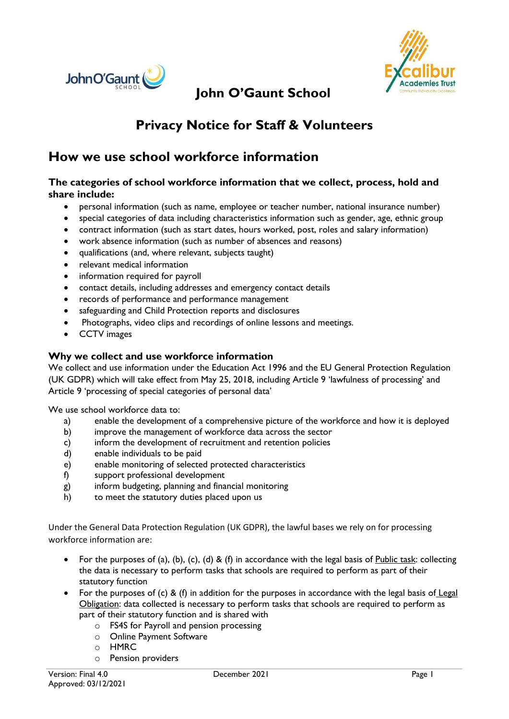



# **John O'Gaunt School**

## **Privacy Notice for Staff & Volunteers**

## **How we use school workforce information**

#### **The categories of school workforce information that we collect, process, hold and share include:**

- personal information (such as name, employee or teacher number, national insurance number)
- special categories of data including characteristics information such as gender, age, ethnic group
- contract information (such as start dates, hours worked, post, roles and salary information)
- work absence information (such as number of absences and reasons)
- qualifications (and, where relevant, subjects taught)
- relevant medical information
- information required for payroll
- contact details, including addresses and emergency contact details
- records of performance and performance management
- safeguarding and Child Protection reports and disclosures
- Photographs, video clips and recordings of online lessons and meetings.
- CCTV images

#### **Why we collect and use workforce information**

We collect and use information under the Education Act 1996 and the EU General Protection Regulation (UK GDPR) which will take effect from May 25, 2018, including Article 9 'lawfulness of processing' and Article 9 'processing of special categories of personal data'

We use school workforce data to:

- a) enable the development of a comprehensive picture of the workforce and how it is deployed
- b) improve the management of workforce data across the sector
- c) inform the development of recruitment and retention policies
- d) enable individuals to be paid
- e) enable monitoring of selected protected characteristics
- f) support professional development
- g) inform budgeting, planning and financial monitoring
- h) to meet the statutory duties placed upon us

Under the General Data Protection Regulation (UK GDPR), the lawful bases we rely on for processing workforce information are:

- For the purposes of (a), (b), (c), (d) & (f) in accordance with the legal basis of Public task: collecting the data is necessary to perform tasks that schools are required to perform as part of their statutory function
- For the purposes of (c) & (f) in addition for the purposes in accordance with the legal basis of Legal Obligation: data collected is necessary to perform tasks that schools are required to perform as part of their statutory function and is shared with
	- o FS4S for Payroll and pension processing
	- o Online Payment Software
	- o HMRC
	- o Pension providers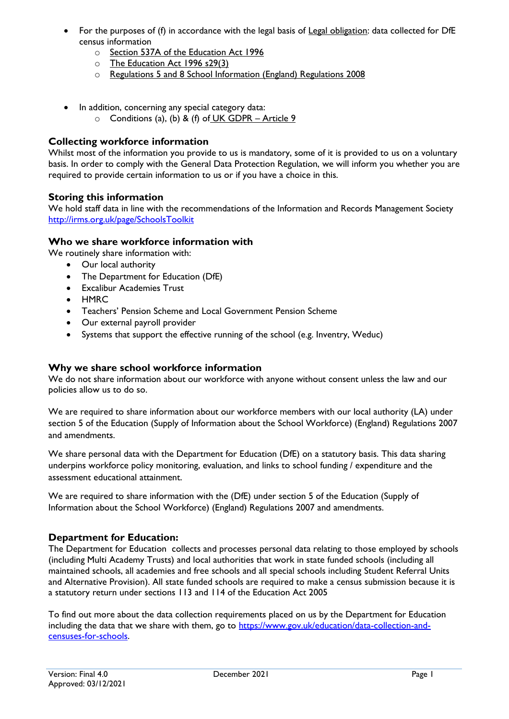- For the purposes of (f) in accordance with the legal basis of Legal obligation: data collected for DfE census information
	- o Section 537A of the Education Act 1996
	- o The Education Act 1996 s29(3)
	- o Regulations 5 and 8 School Information (England) Regulations 2008
- In addition, concerning any special category data:
	- $\circ$  Conditions (a), (b) & (f) of UK GDPR Article 9

#### **Collecting workforce information**

Whilst most of the information you provide to us is mandatory, some of it is provided to us on a voluntary basis. In order to comply with the General Data Protection Regulation, we will inform you whether you are required to provide certain information to us or if you have a choice in this.

#### **Storing this information**

We hold staff data in line with the recommendations of the Information and Records Management Society <http://irms.org.uk/page/SchoolsToolkit>

#### **Who we share workforce information with**

We routinely share information with:

- Our local authority
- The Department for Education (DfE)
- Excalibur Academies Trust
- HMRC
- Teachers' Pension Scheme and Local Government Pension Scheme
- Our external payroll provider
- Systems that support the effective running of the school (e.g. Inventry, Weduc)

#### **Why we share school workforce information**

We do not share information about our workforce with anyone without consent unless the law and our policies allow us to do so.

We are required to share information about our workforce members with our local authority (LA) under section 5 of the Education (Supply of Information about the School Workforce) (England) Regulations 2007 and amendments.

We share personal data with the Department for Education (DfE) on a statutory basis. This data sharing underpins workforce policy monitoring, evaluation, and links to school funding / expenditure and the assessment educational attainment.

We are required to share information with the (DfE) under section 5 of the Education (Supply of Information about the School Workforce) (England) Regulations 2007 and amendments.

#### **Department for Education:**

The Department for Education collects and processes personal data relating to those employed by schools (including Multi Academy Trusts) and local authorities that work in state funded schools (including all maintained schools, all academies and free schools and all special schools including Student Referral Units and Alternative Provision). All state funded schools are required to make a census submission because it is a statutory return under sections 113 and 114 of the Education Act 2005

To find out more about the data collection requirements placed on us by the Department for Education including the data that we share with them, go to [https://www.gov.uk/education/data-collection-and](https://www.gov.uk/education/data-collection-and-censuses-for-schools)[censuses-for-schools.](https://www.gov.uk/education/data-collection-and-censuses-for-schools)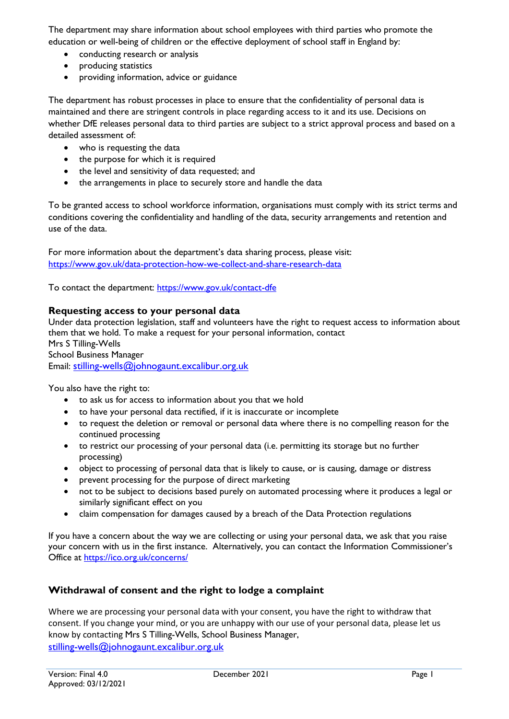The department may share information about school employees with third parties who promote the education or well-being of children or the effective deployment of school staff in England by:

- conducting research or analysis
- producing statistics
- providing information, advice or guidance

The department has robust processes in place to ensure that the confidentiality of personal data is maintained and there are stringent controls in place regarding access to it and its use. Decisions on whether DfE releases personal data to third parties are subject to a strict approval process and based on a detailed assessment of:

- who is requesting the data
- the purpose for which it is required
- the level and sensitivity of data requested; and
- the arrangements in place to securely store and handle the data

To be granted access to school workforce information, organisations must comply with its strict terms and conditions covering the confidentiality and handling of the data, security arrangements and retention and use of the data.

For more information about the department's data sharing process, please visit: <https://www.gov.uk/data-protection-how-we-collect-and-share-research-data>

To contact the department:<https://www.gov.uk/contact-dfe>

#### **Requesting access to your personal data**

Under data protection legislation, staff and volunteers have the right to request access to information about them that we hold. To make a request for your personal information, contact Mrs S Tilling-Wells School Business Manager Email: [stilling-wells@johnogaunt.excalibur.org.uk](mailto:stilling-wells@johnogaunt.excalibur.org.uk)

You also have the right to:

- to ask us for access to information about you that we hold
- to have your personal data rectified, if it is inaccurate or incomplete
- to request the deletion or removal or personal data where there is no compelling reason for the continued processing
- to restrict our processing of your personal data (i.e. permitting its storage but no further processing)
- object to processing of personal data that is likely to cause, or is causing, damage or distress
- prevent processing for the purpose of direct marketing
- not to be subject to decisions based purely on automated processing where it produces a legal or similarly significant effect on you
- claim compensation for damages caused by a breach of the Data Protection regulations

If you have a concern about the way we are collecting or using your personal data, we ask that you raise your concern with us in the first instance. Alternatively, you can contact the Information Commissioner's Office at <https://ico.org.uk/concerns/>

### **Withdrawal of consent and the right to lodge a complaint**

Where we are processing your personal data with your consent, you have the right to withdraw that consent. If you change your mind, or you are unhappy with our use of your personal data, please let us know by contacting Mrs S Tilling-Wells, School Business Manager, [stilling-wells@johnogaunt.excalibur.org.uk](mailto:stilling-wells@johnogaunt.excalibur.org.uk)